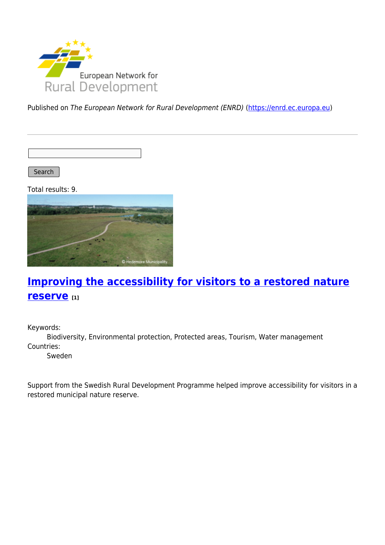

Published on The European Network for Rural Development (ENRD) [\(https://enrd.ec.europa.eu](https://enrd.ec.europa.eu))

Search |

Total results: 9.



# **[Improving the accessibility for visitors to a restored nature](https://enrd.ec.europa.eu/projects-practice/improving-accessibility-visitors-restored-nature-reserve_en) [reserve](https://enrd.ec.europa.eu/projects-practice/improving-accessibility-visitors-restored-nature-reserve_en) [1]**

Keywords:

Biodiversity, Environmental protection, Protected areas, Tourism, Water management Countries:

Sweden

Support from the Swedish Rural Development Programme helped improve accessibility for visitors in a restored municipal nature reserve.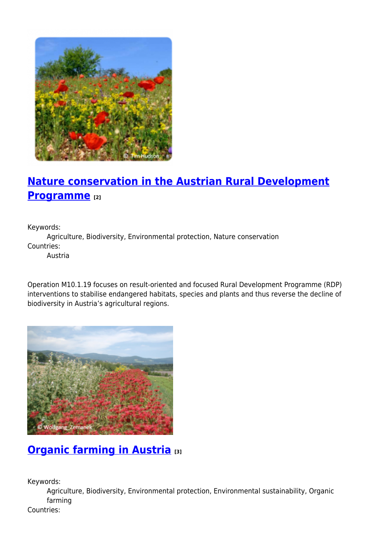

# **[Nature conservation in the Austrian Rural Development](https://enrd.ec.europa.eu/projects-practice/nature-conservation-austrian-rural-development-programme_en) [Programme](https://enrd.ec.europa.eu/projects-practice/nature-conservation-austrian-rural-development-programme_en) [2]**

Keywords:

Agriculture, Biodiversity, Environmental protection, Nature conservation Countries:

Austria

Operation M10.1.19 focuses on result-oriented and focused Rural Development Programme (RDP) interventions to stabilise endangered habitats, species and plants and thus reverse the decline of biodiversity in Austria's agricultural regions.



## **[Organic farming in Austria](https://enrd.ec.europa.eu/projects-practice/organic-farming-austria_en) [3]**

Keywords:

Agriculture, Biodiversity, Environmental protection, Environmental sustainability, Organic farming

Countries: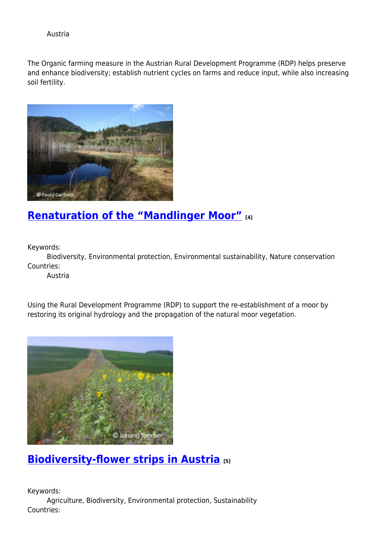Austria

The Organic farming measure in the Austrian Rural Development Programme (RDP) helps preserve and enhance biodiversity; establish nutrient cycles on farms and reduce input, while also increasing soil fertility.



## **[Renaturation of the "Mandlinger Moor"](https://enrd.ec.europa.eu/projects-practice/renaturation-mandlinger-moor_en) [4]**

Keywords:

Biodiversity, Environmental protection, Environmental sustainability, Nature conservation Countries:

Austria

Using the Rural Development Programme (RDP) to support the re-establishment of a moor by restoring its original hydrology and the propagation of the natural moor vegetation.



# **[Biodiversity-flower strips in Austria](https://enrd.ec.europa.eu/projects-practice/biodiversity-flower-strips-austria_en) [5]**

Keywords: Agriculture, Biodiversity, Environmental protection, Sustainability Countries: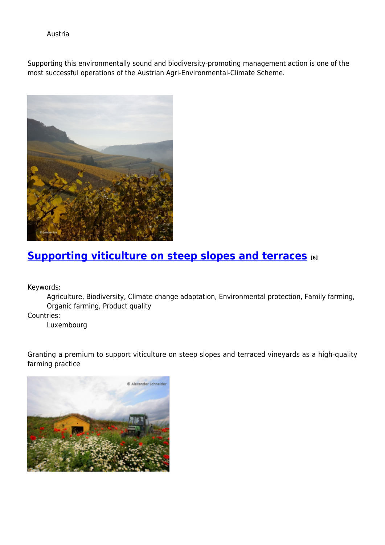Austria

Supporting this environmentally sound and biodiversity-promoting management action is one of the most successful operations of the Austrian Agri-Environmental-Climate Scheme.



### **[Supporting viticulture on steep slopes and terraces](https://enrd.ec.europa.eu/projects-practice/supporting-viticulture-steep-slopes-and-terraces_en) [6]**

Keywords:

Agriculture, Biodiversity, Climate change adaptation, Environmental protection, Family farming, Organic farming, Product quality

Countries:

Luxembourg

Granting a premium to support viticulture on steep slopes and terraced vineyards as a high-quality farming practice

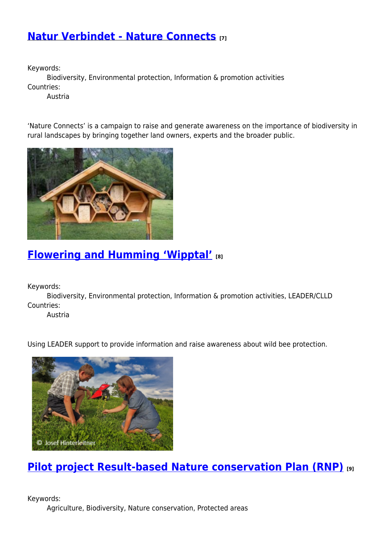### **[Natur Verbindet - Nature Connects](https://enrd.ec.europa.eu/projects-practice/natur-verbindet-nature-connects_en) [7]**

Keywords:

Biodiversity, Environmental protection, Information & promotion activities Countries:

Austria

'Nature Connects' is a campaign to raise and generate awareness on the importance of biodiversity in rural landscapes by bringing together land owners, experts and the broader public.



## **[Flowering and Humming 'Wipptal'](https://enrd.ec.europa.eu/projects-practice/flowering-and-humming-wipptal_en) [8]**

Keywords:

Biodiversity, Environmental protection, Information & promotion activities, LEADER/CLLD Countries:

Austria

Using LEADER support to provide information and raise awareness about wild bee protection.



**[Pilot project Result-based Nature conservation Plan \(RNP\)](https://enrd.ec.europa.eu/projects-practice/pilot-project-result-based-nature-conservation-plan-rnp_en) [9]**

Keywords: Agriculture, Biodiversity, Nature conservation, Protected areas